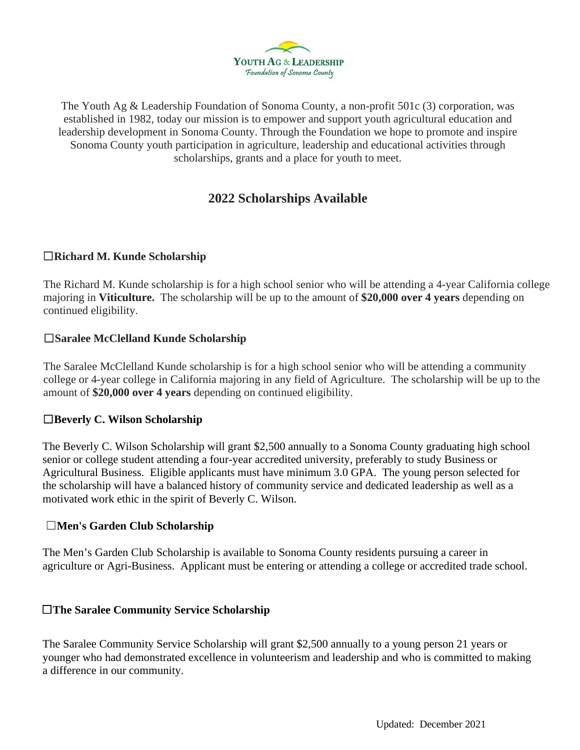

The Youth Ag & Leadership Foundation of Sonoma County, a non-profit 501c (3) corporation, was established in 1982, today our mission is to empower and support youth agricultural education and leadership development in Sonoma County. Through the Foundation we hope to promote and inspire Sonoma County youth participation in agriculture, leadership and educational activities through scholarships, grants and a place for youth to meet.

## **2022 Scholarships Available**

## ☐**Richard M. Kunde Scholarship**

The Richard M. Kunde scholarship is for a high school senior who will be attending a 4-year California college majoring in **Viticulture.** The scholarship will be up to the amount of **\$20,000 over 4 years** depending on continued eligibility.

## ☐**Saralee McClelland Kunde Scholarship**

The Saralee McClelland Kunde scholarship is for a high school senior who will be attending a community college or 4-year college in California majoring in any field of Agriculture. The scholarship will be up to the amount of **\$20,000 over 4 years** depending on continued eligibility.

## ☐**Beverly C. Wilson Scholarship**

The Beverly C. Wilson Scholarship will grant \$2,500 annually to a Sonoma County graduating high school senior or college student attending a four-year accredited university, preferably to study Business or Agricultural Business. Eligible applicants must have minimum 3.0 GPA. The young person selected for the scholarship will have a balanced history of community service and dedicated leadership as well as a motivated work ethic in the spirit of Beverly C. Wilson.

### ☐**Men's Garden Club Scholarship**

The Men's Garden Club Scholarship is available to Sonoma County residents pursuing a career in agriculture or Agri-Business. Applicant must be entering or attending a college or accredited trade school.

## ☐**The Saralee Community Service Scholarship**

The Saralee Community Service Scholarship will grant \$2,500 annually to a young person 21 years or younger who had demonstrated excellence in volunteerism and leadership and who is committed to making a difference in our community.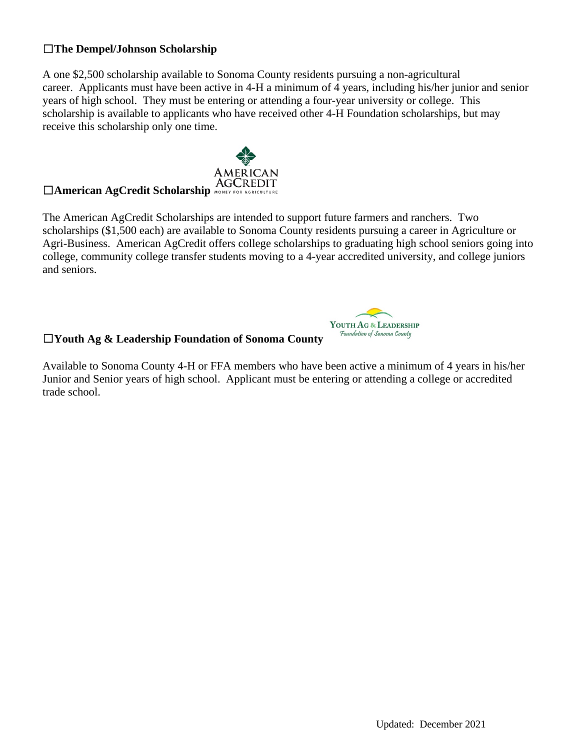## ☐**The Dempel/Johnson Scholarship**

A one \$2,500 scholarship available to Sonoma County residents pursuing a non-agricultural career. Applicants must have been active in 4-H a minimum of 4 years, including his/her junior and senior years of high school. They must be entering or attending a four-year university or college. This scholarship is available to applicants who have received other 4-H Foundation scholarships, but may receive this scholarship only one time.



The American AgCredit Scholarships are intended to support future farmers and ranchers. Two scholarships (\$1,500 each) are available to Sonoma County residents pursuing a career in Agriculture or Agri-Business. American AgCredit offers college scholarships to graduating high school seniors going into college, community college transfer students moving to a 4-year accredited university, and college juniors and seniors.

## ☐**Youth Ag & Leadership Foundation of Sonoma County**

Available to Sonoma County 4-H or FFA members who have been active a minimum of 4 years in his/her Junior and Senior years of high school. Applicant must be entering or attending a college or accredited trade school.

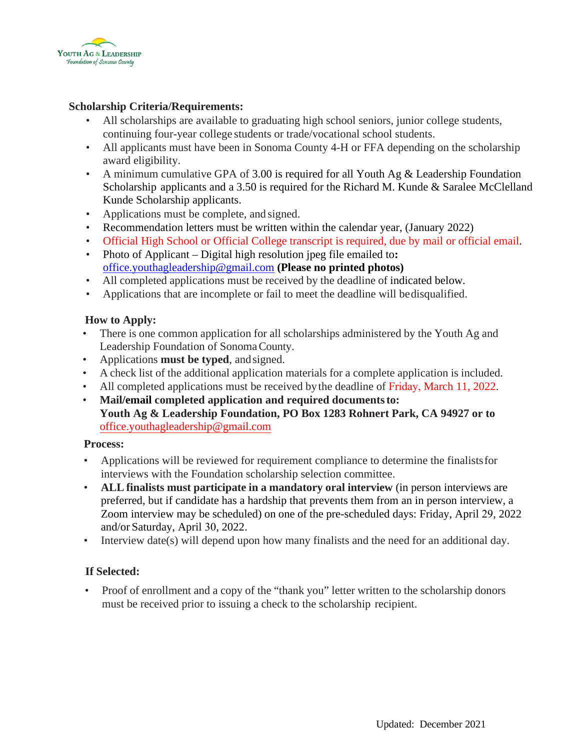

### **Scholarship Criteria/Requirements:**

- All scholarships are available to graduating high school seniors, junior college students, continuing four-year college students or trade/vocational school students.
- All applicants must have been in Sonoma County 4-H or FFA depending on the scholarship award eligibility.
- A minimum cumulative GPA of 3.00 is required for all Youth Ag & Leadership Foundation Scholarship applicants and a 3.50 is required for the Richard M. Kunde & Saralee McClelland Kunde Scholarship applicants.
- Applications must be complete, and signed.
- Recommendation letters must be written within the calendar year, (January 2022)
- Official High School or Official College transcript is required, due by mail or official email.
- Photo of Applicant Digital high resolution jpeg file emailed to**:** [office.youthagleadership@gmail.com](mailto:office.youthagleadership@gmail.com) **(Please no printed photos)**
- All completed applications must be received by the deadline of indicated below.
- Applications that are incomplete or fail to meet the deadline will be disqualified.

### **How to Apply:**

- There is one common application for all scholarships administered by the Youth Ag and Leadership Foundation of Sonoma County.
- Applications **must be typed**, and signed.
- A check list of the additional application materials for a complete application is included.
- All completed applications must be received bythe deadline of Friday, March 11, 2022.
- **Mail/email completed application and required documentsto: Youth Ag & Leadership Foundation, PO Box 1283 Rohnert Park, CA 94927 or to** office.youthagleadership@gmail.com

### **Process:**

- Applications will be reviewed for requirement compliance to determine the finalistsfor interviews with the Foundation scholarship selection committee.
- **ALL finalists must participate in a mandatory oral interview** (in person interviews are preferred, but if candidate has a hardship that prevents them from an in person interview, a Zoom interview may be scheduled) on one of the pre-scheduled days: Friday, April 29, 2022 and/or Saturday, April 30, 2022.
- Interview date(s) will depend upon how many finalists and the need for an additional day.

### **If Selected:**

• Proof of enrollment and a copy of the "thank you" letter written to the scholarship donors must be received prior to issuing a check to the scholarship recipient.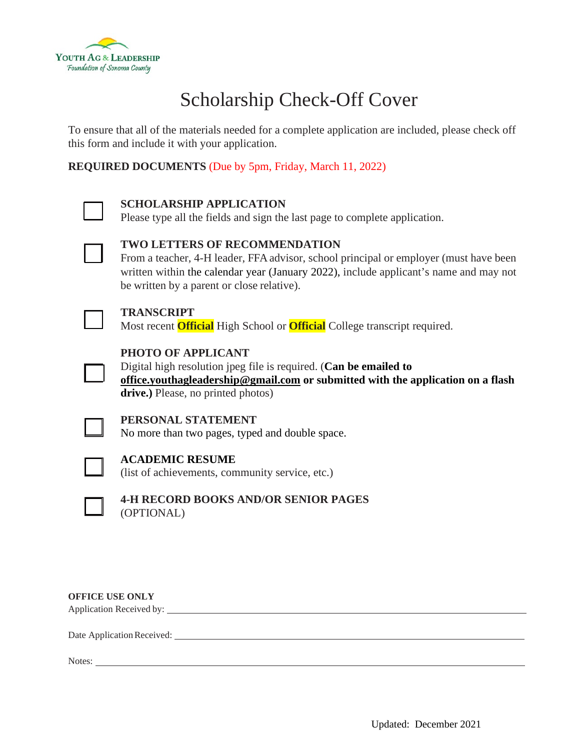

# Scholarship Check-Off Cover

To ensure that all of the materials needed for a complete application are included, please check off this form and include it with your application.

**REQUIRED DOCUMENTS** (Due by 5pm, Friday, March 11, 2022)



### **SCHOLARSHIP APPLICATION**

Please type all the fields and sign the last page to complete application.



## **TWO LETTERS OF RECOMMENDATION**

From a teacher, 4-H leader, FFA advisor, school principal or employer (must have been written within the calendar year (January 2022), include applicant's name and may not be written by a parent or close relative).



### **TRANSCRIPT**

Most recent **Official** High School or **Official** College transcript required.

## **PHOTO OF APPLICANT**

Digital high resolution jpeg file is required. (**Can be emailed to [office.youthagleadership@gmail.com](mailto:office.youthagleadership@gmail.com) or submitted with the application on a flash drive.)** Please, no printed photos)



## **PERSONAL STATEMENT**

No more than two pages, typed and double space.



## **ACADEMIC RESUME**

(list of achievements, community service, etc.)



### **4-H RECORD BOOKS AND/OR SENIOR PAGES** (OPTIONAL)

**OFFICE USE ONLY**

Application Received by:

Date ApplicationReceived:

Notes: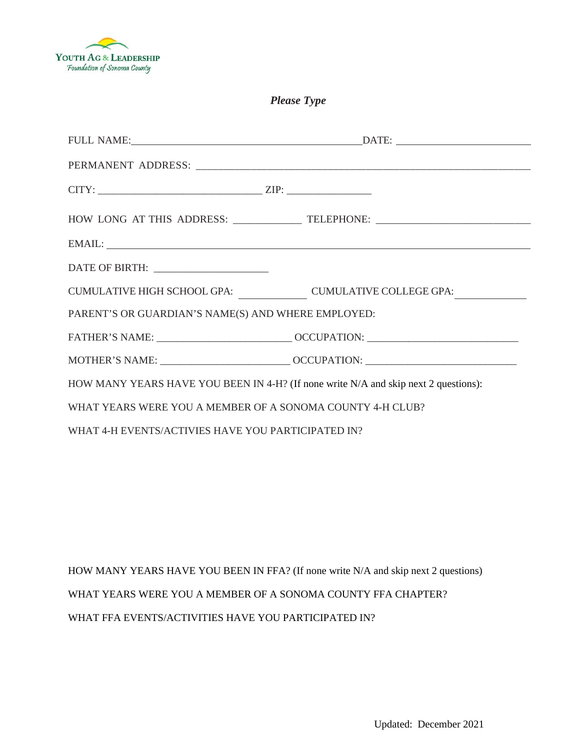

*Please Type*

| $CITY:$ $ZIP:$ $ZIP:$ $ZIP:$                              |                                                                                                                                                                                                                                |  |
|-----------------------------------------------------------|--------------------------------------------------------------------------------------------------------------------------------------------------------------------------------------------------------------------------------|--|
|                                                           | HOW LONG AT THIS ADDRESS: ______________TELEPHONE: _____________________________                                                                                                                                               |  |
|                                                           | EMAIL: New York Contract the Contract of the Contract of the Contract of the Contract of the Contract of the Contract of the Contract of the Contract of the Contract of the Contract of the Contract of the Contract of the C |  |
|                                                           |                                                                                                                                                                                                                                |  |
|                                                           | CUMULATIVE HIGH SCHOOL GPA: CUMULATIVE COLLEGE GPA:                                                                                                                                                                            |  |
| PARENT'S OR GUARDIAN'S NAME(S) AND WHERE EMPLOYED:        |                                                                                                                                                                                                                                |  |
|                                                           | FATHER'S NAME: __________________________________OCCUPATION: ____________________                                                                                                                                              |  |
|                                                           | MOTHER'S NAME: ___________________________________OCCUPATION: ___________________                                                                                                                                              |  |
|                                                           | HOW MANY YEARS HAVE YOU BEEN IN 4-H? (If none write N/A and skip next 2 questions):                                                                                                                                            |  |
| WHAT YEARS WERE YOU A MEMBER OF A SONOMA COUNTY 4-H CLUB? |                                                                                                                                                                                                                                |  |
| WHAT 4-H EVENTS/ACTIVIES HAVE YOU PARTICIPATED IN?        |                                                                                                                                                                                                                                |  |

HOW MANY YEARS HAVE YOU BEEN IN FFA? (If none write N/A and skip next 2 questions) WHAT YEARS WERE YOU A MEMBER OF A SONOMA COUNTY FFA CHAPTER? WHAT FFA EVENTS/ACTIVITIES HAVE YOU PARTICIPATED IN?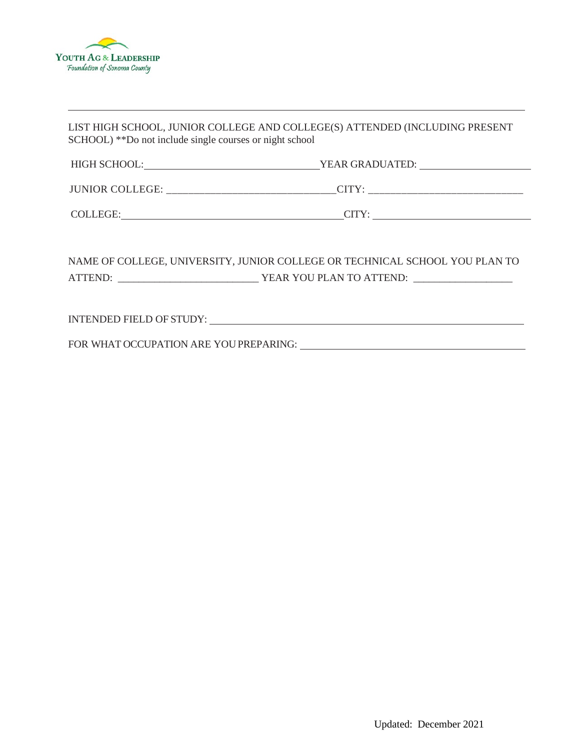

| LIST HIGH SCHOOL, JUNIOR COLLEGE AND COLLEGE(S) ATTENDED (INCLUDING PRESENT<br>SCHOOL) **Do not include single courses or night school |                                                                                                                                                                                                                                                                                                                                                                                                                                                                                  |  |
|----------------------------------------------------------------------------------------------------------------------------------------|----------------------------------------------------------------------------------------------------------------------------------------------------------------------------------------------------------------------------------------------------------------------------------------------------------------------------------------------------------------------------------------------------------------------------------------------------------------------------------|--|
|                                                                                                                                        |                                                                                                                                                                                                                                                                                                                                                                                                                                                                                  |  |
|                                                                                                                                        | JUNIOR COLLEGE: __________________________________CITY: ________________________                                                                                                                                                                                                                                                                                                                                                                                                 |  |
|                                                                                                                                        | $COLLEGE: \begin{tabular}{@{}c@{}} \hline \multicolumn{3}{c}{\textbf{C0}} \end{tabular} \begin{tabular}{@{}c@{}} \hline \multicolumn{3}{c}{\textbf{C0}} \end{tabular} \begin{tabular}{@{}c@{}} \hline \multicolumn{3}{c}{\textbf{C0}} \end{tabular} \begin{tabular}{@{}c@{}} \hline \multicolumn{3}{c}{\textbf{C1}} \end{tabular} \begin{tabular}{@{}c@{}} \hline \multicolumn{3}{c}{\textbf{C1}} \end{tabular} \begin{tabular}{@{}c@{}} \hline \multicolumn{3}{c}{\textbf{C1}}$ |  |
| NAME OF COLLEGE, UNIVERSITY, JUNIOR COLLEGE OR TECHNICAL SCHOOL YOU PLAN TO                                                            |                                                                                                                                                                                                                                                                                                                                                                                                                                                                                  |  |
|                                                                                                                                        |                                                                                                                                                                                                                                                                                                                                                                                                                                                                                  |  |
|                                                                                                                                        |                                                                                                                                                                                                                                                                                                                                                                                                                                                                                  |  |